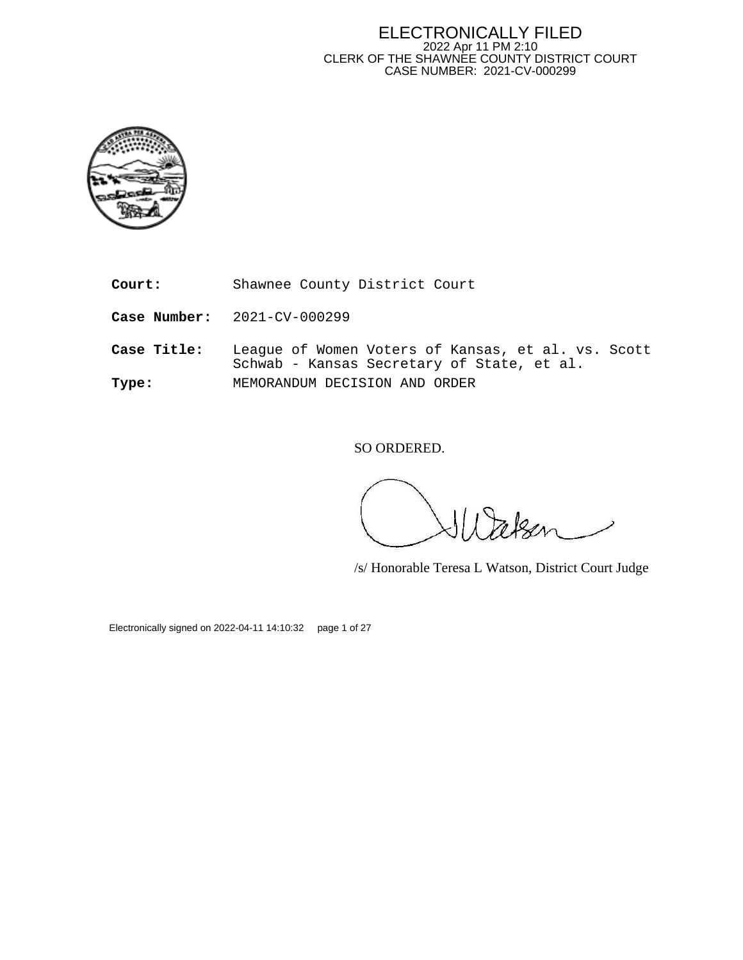#### ELECTRONICALLY FILED 2022 Apr 11 PM 2:10 CLERK OF THE SHAWNEE COUNTY DISTRICT COURT CASE NUMBER: 2021-CV-000299



**Court:** Shawnee County District Court

**Case Number:** 2021-CV-000299

**Case Title:** League of Women Voters of Kansas, et al. vs. Scott Schwab - Kansas Secretary of State, et al. **Type:** MEMORANDUM DECISION AND ORDER

SO ORDERED.

/s/ Honorable Teresa L Watson, District Court Judge

Electronically signed on 2022-04-11 14:10:32 page 1 of 27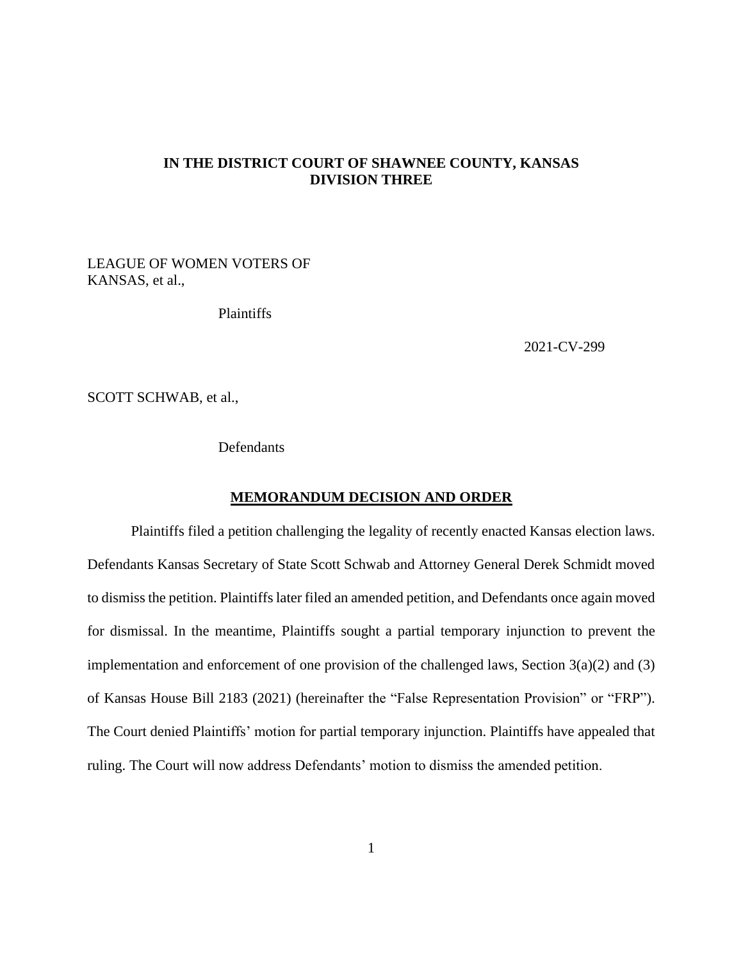# **IN THE DISTRICT COURT OF SHAWNEE COUNTY, KANSAS DIVISION THREE**

LEAGUE OF WOMEN VOTERS OF KANSAS, et al.,

Plaintiffs

2021-CV-299

SCOTT SCHWAB, et al.,

**Defendants** 

#### **MEMORANDUM DECISION AND ORDER**

Plaintiffs filed a petition challenging the legality of recently enacted Kansas election laws. Defendants Kansas Secretary of State Scott Schwab and Attorney General Derek Schmidt moved to dismiss the petition. Plaintiffs later filed an amended petition, and Defendants once again moved for dismissal. In the meantime, Plaintiffs sought a partial temporary injunction to prevent the implementation and enforcement of one provision of the challenged laws, Section  $3(a)(2)$  and  $(3)$ of Kansas House Bill 2183 (2021) (hereinafter the "False Representation Provision" or "FRP"). The Court denied Plaintiffs' motion for partial temporary injunction. Plaintiffs have appealed that ruling. The Court will now address Defendants' motion to dismiss the amended petition.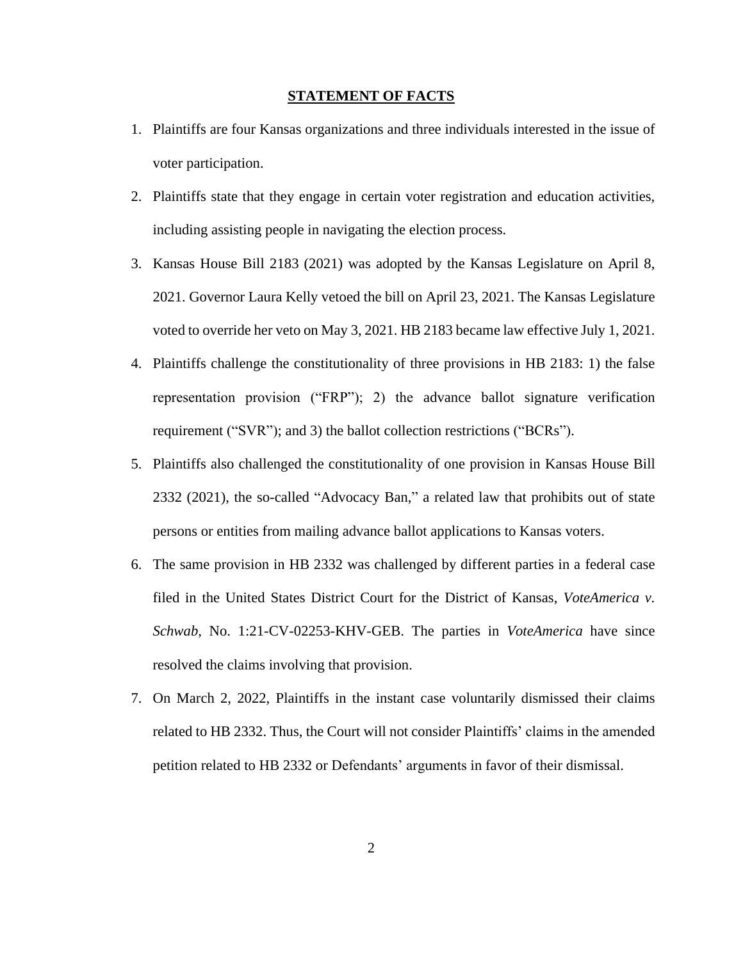#### **STATEMENT OF FACTS**

- 1. Plaintiffs are four Kansas organizations and three individuals interested in the issue of voter participation.
- 2. Plaintiffs state that they engage in certain voter registration and education activities, including assisting people in navigating the election process.
- 3. Kansas House Bill 2183 (2021) was adopted by the Kansas Legislature on April 8, 2021. Governor Laura Kelly vetoed the bill on April 23, 2021. The Kansas Legislature voted to override her veto on May 3, 2021. HB 2183 became law effective July 1, 2021.
- 4. Plaintiffs challenge the constitutionality of three provisions in HB 2183: 1) the false representation provision ("FRP"); 2) the advance ballot signature verification requirement ("SVR"); and 3) the ballot collection restrictions ("BCRs").
- 5. Plaintiffs also challenged the constitutionality of one provision in Kansas House Bill 2332 (2021), the so-called "Advocacy Ban," a related law that prohibits out of state persons or entities from mailing advance ballot applications to Kansas voters.
- 6. The same provision in HB 2332 was challenged by different parties in a federal case filed in the United States District Court for the District of Kansas, *VoteAmerica v. Schwab,* No. 1:21-CV-02253-KHV-GEB. The parties in *VoteAmerica* have since resolved the claims involving that provision.
- 7. On March 2, 2022, Plaintiffs in the instant case voluntarily dismissed their claims related to HB 2332. Thus, the Court will not consider Plaintiffs' claims in the amended petition related to HB 2332 or Defendants' arguments in favor of their dismissal.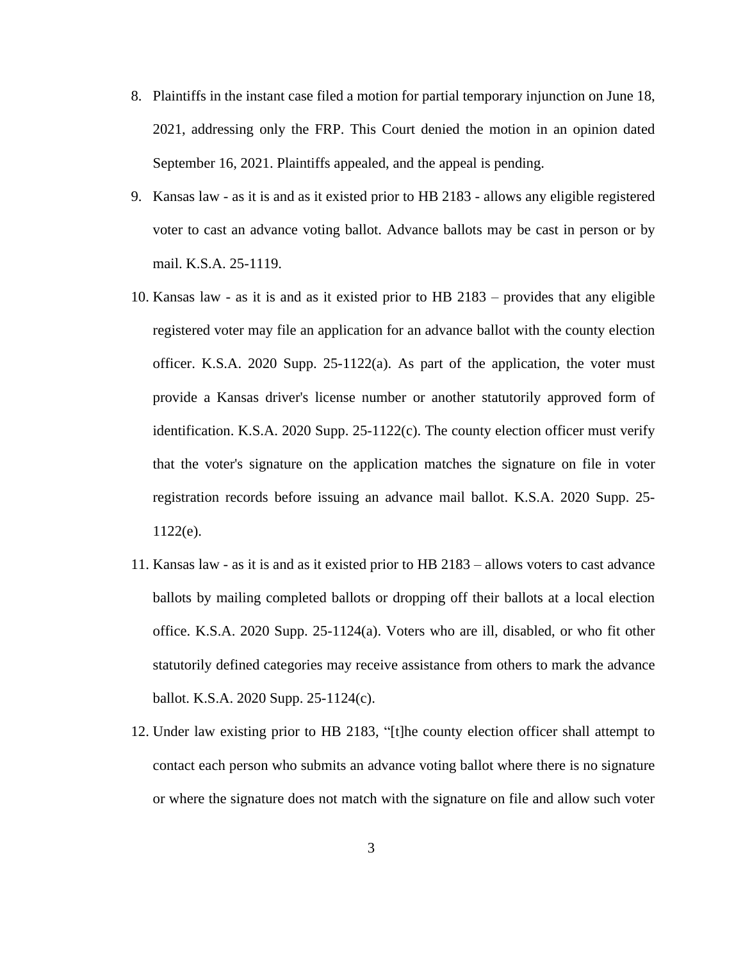- 8. Plaintiffs in the instant case filed a motion for partial temporary injunction on June 18, 2021, addressing only the FRP. This Court denied the motion in an opinion dated September 16, 2021. Plaintiffs appealed, and the appeal is pending.
- 9. Kansas law as it is and as it existed prior to HB 2183 allows any eligible registered voter to cast an advance voting ballot. Advance ballots may be cast in person or by mail. K.S.A. 25-1119.
- 10. Kansas law as it is and as it existed prior to HB 2183 provides that any eligible registered voter may file an application for an advance ballot with the county election officer. K.S.A. 2020 Supp. 25-1122(a). As part of the application, the voter must provide a Kansas driver's license number or another statutorily approved form of identification. K.S.A. 2020 Supp. 25-1122(c). The county election officer must verify that the voter's signature on the application matches the signature on file in voter registration records before issuing an advance mail ballot. K.S.A. 2020 Supp. 25- 1122(e).
- 11. Kansas law as it is and as it existed prior to HB 2183 allows voters to cast advance ballots by mailing completed ballots or dropping off their ballots at a local election office. K.S.A. 2020 Supp. 25-1124(a). Voters who are ill, disabled, or who fit other statutorily defined categories may receive assistance from others to mark the advance ballot. K.S.A. 2020 Supp. 25-1124(c).
- 12. Under law existing prior to HB 2183, "[t]he county election officer shall attempt to contact each person who submits an advance voting ballot where there is no signature or where the signature does not match with the signature on file and allow such voter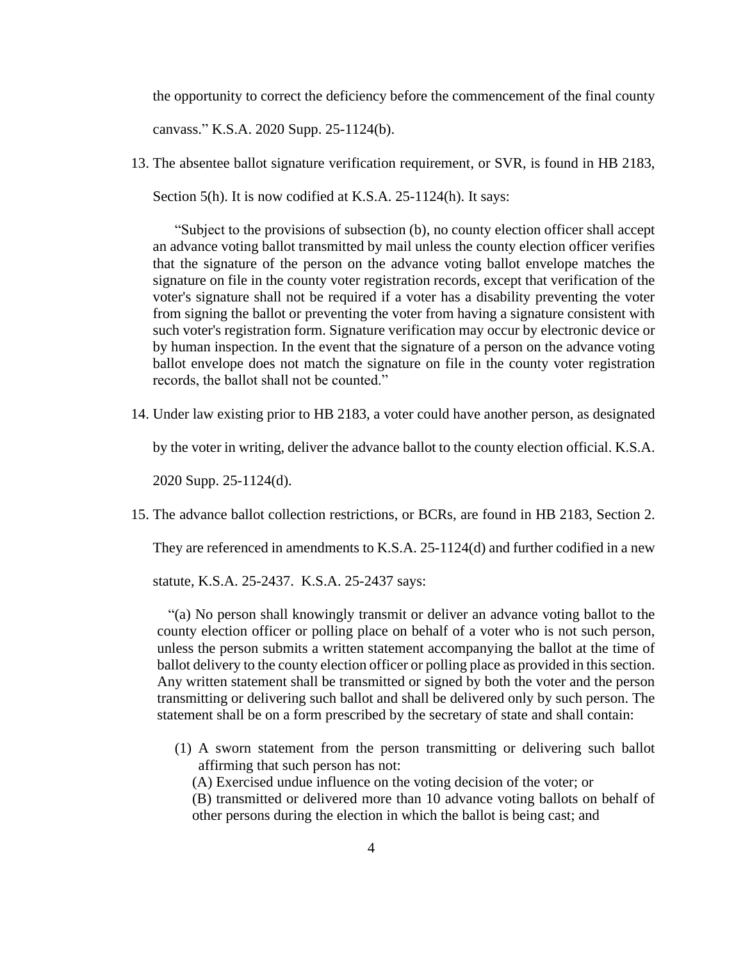the opportunity to correct the deficiency before the commencement of the final county

canvass." K.S.A. 2020 Supp. 25-1124(b).

13. The absentee ballot signature verification requirement, or SVR, is found in HB 2183,

Section 5(h). It is now codified at K.S.A. 25-1124(h). It says:

"Subject to the provisions of subsection (b), no county election officer shall accept an advance voting ballot transmitted by mail unless the county election officer verifies that the signature of the person on the advance voting ballot envelope matches the signature on file in the county voter registration records, except that verification of the voter's signature shall not be required if a voter has a disability preventing the voter from signing the ballot or preventing the voter from having a signature consistent with such voter's registration form. Signature verification may occur by electronic device or by human inspection. In the event that the signature of a person on the advance voting ballot envelope does not match the signature on file in the county voter registration records, the ballot shall not be counted."

14. Under law existing prior to HB 2183, a voter could have another person, as designated

by the voter in writing, deliver the advance ballot to the county election official. K.S.A.

2020 Supp. 25-1124(d).

15. The advance ballot collection restrictions, or BCRs, are found in HB 2183, Section 2.

They are referenced in amendments to K.S.A. 25-1124(d) and further codified in a new

statute, K.S.A. 25-2437. K.S.A. 25-2437 says:

 "(a) No person shall knowingly transmit or deliver an advance voting ballot to the county election officer or polling place on behalf of a voter who is not such person, unless the person submits a written statement accompanying the ballot at the time of ballot delivery to the county election officer or polling place as provided in this section. Any written statement shall be transmitted or signed by both the voter and the person transmitting or delivering such ballot and shall be delivered only by such person. The statement shall be on a form prescribed by the secretary of state and shall contain:

- (1) A sworn statement from the person transmitting or delivering such ballot affirming that such person has not:
	- (A) Exercised undue influence on the voting decision of the voter; or
	- (B) transmitted or delivered more than 10 advance voting ballots on behalf of other persons during the election in which the ballot is being cast; and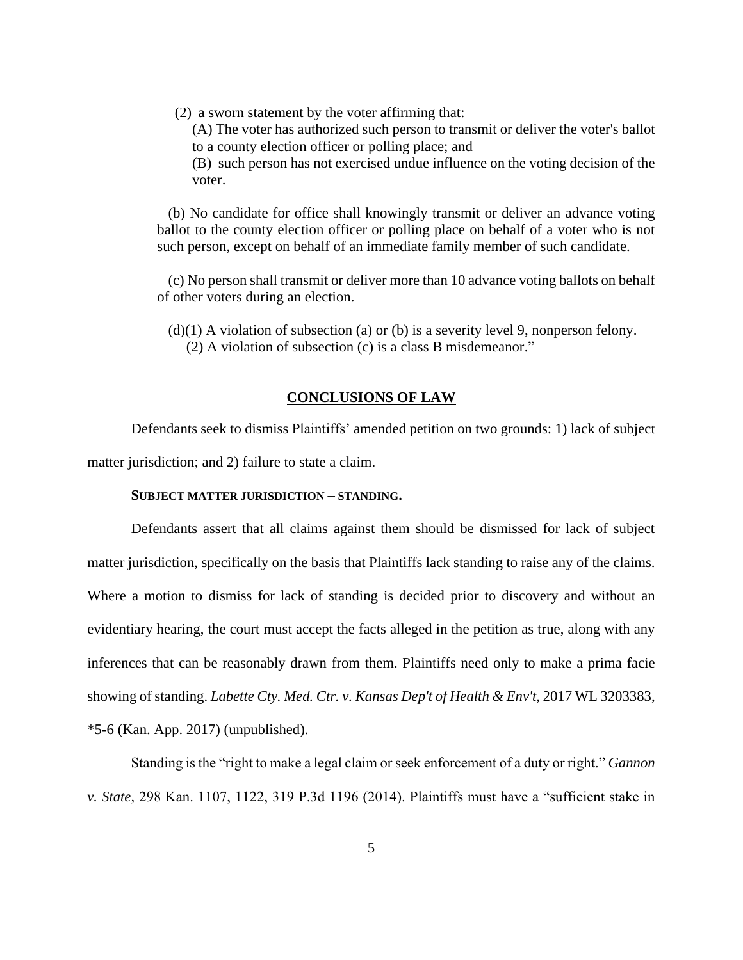(2) a sworn statement by the voter affirming that:

(A) The voter has authorized such person to transmit or deliver the voter's ballot to a county election officer or polling place; and

(B) such person has not exercised undue influence on the voting decision of the voter.

 (b) No candidate for office shall knowingly transmit or deliver an advance voting ballot to the county election officer or polling place on behalf of a voter who is not such person, except on behalf of an immediate family member of such candidate.

 (c) No person shall transmit or deliver more than 10 advance voting ballots on behalf of other voters during an election.

 $(d)(1)$  A violation of subsection (a) or (b) is a severity level 9, nonperson felony. (2) A violation of subsection (c) is a class B misdemeanor."

#### **CONCLUSIONS OF LAW**

Defendants seek to dismiss Plaintiffs' amended petition on two grounds: 1) lack of subject matter jurisdiction; and 2) failure to state a claim.

## **SUBJECT MATTER JURISDICTION – STANDING.**

Defendants assert that all claims against them should be dismissed for lack of subject matter jurisdiction, specifically on the basis that Plaintiffs lack standing to raise any of the claims. Where a motion to dismiss for lack of standing is decided prior to discovery and without an evidentiary hearing, the court must accept the facts alleged in the petition as true, along with any inferences that can be reasonably drawn from them. Plaintiffs need only to make a prima facie showing of standing. *Labette Cty. Med. Ctr. v. Kansas Dep't of Health & Env't,* 2017 WL 3203383, \*5-6 (Kan. App. 2017) (unpublished).

Standing is the "right to make a legal claim or seek enforcement of a duty or right." *Gannon v. State,* 298 Kan. 1107, 1122, 319 P.3d 1196 (2014). Plaintiffs must have a "sufficient stake in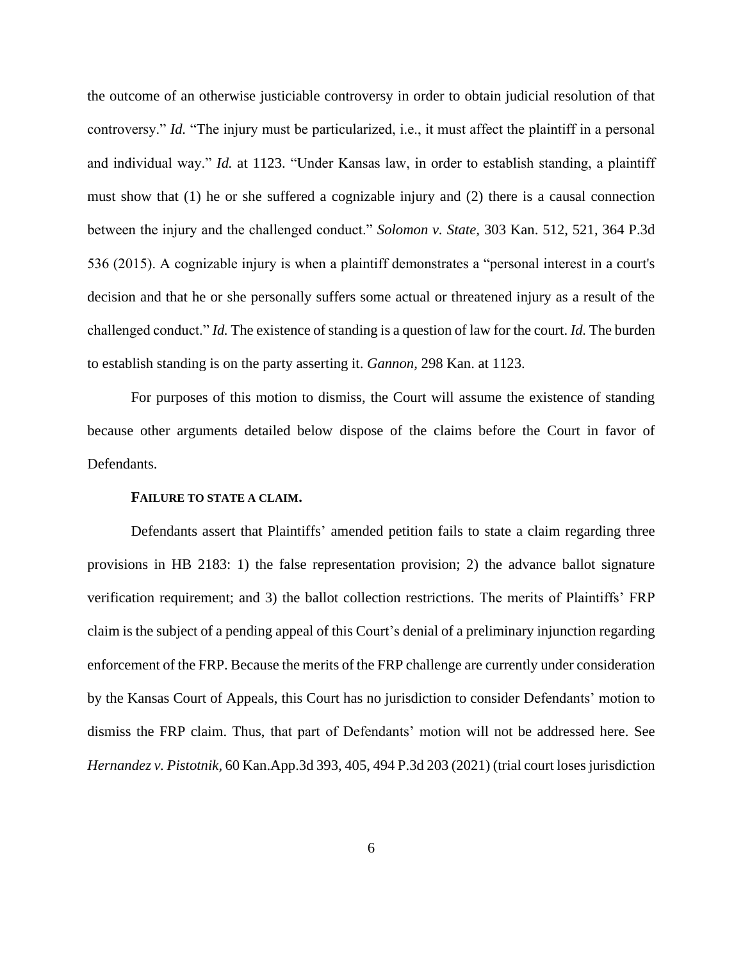the outcome of an otherwise justiciable controversy in order to obtain judicial resolution of that controversy." *Id.* "The injury must be particularized, i.e., it must affect the plaintiff in a personal and individual way." *Id.* at 1123. "Under Kansas law, in order to establish standing, a plaintiff must show that (1) he or she suffered a cognizable injury and (2) there is a causal connection between the injury and the challenged conduct." *Solomon v. State,* 303 Kan. 512, 521, 364 P.3d 536 (2015). A cognizable injury is when a plaintiff demonstrates a "personal interest in a court's decision and that he or she personally suffers some actual or threatened injury as a result of the challenged conduct." *Id.* The existence of standing is a question of law for the court. *Id.* The burden to establish standing is on the party asserting it. *Gannon,* 298 Kan. at 1123.

For purposes of this motion to dismiss, the Court will assume the existence of standing because other arguments detailed below dispose of the claims before the Court in favor of Defendants.

#### **FAILURE TO STATE A CLAIM.**

Defendants assert that Plaintiffs' amended petition fails to state a claim regarding three provisions in HB 2183: 1) the false representation provision; 2) the advance ballot signature verification requirement; and 3) the ballot collection restrictions. The merits of Plaintiffs' FRP claim is the subject of a pending appeal of this Court's denial of a preliminary injunction regarding enforcement of the FRP. Because the merits of the FRP challenge are currently under consideration by the Kansas Court of Appeals, this Court has no jurisdiction to consider Defendants' motion to dismiss the FRP claim. Thus, that part of Defendants' motion will not be addressed here. See *Hernandez v. Pistotnik,* 60 Kan.App.3d 393, 405, 494 P.3d 203 (2021) (trial court loses jurisdiction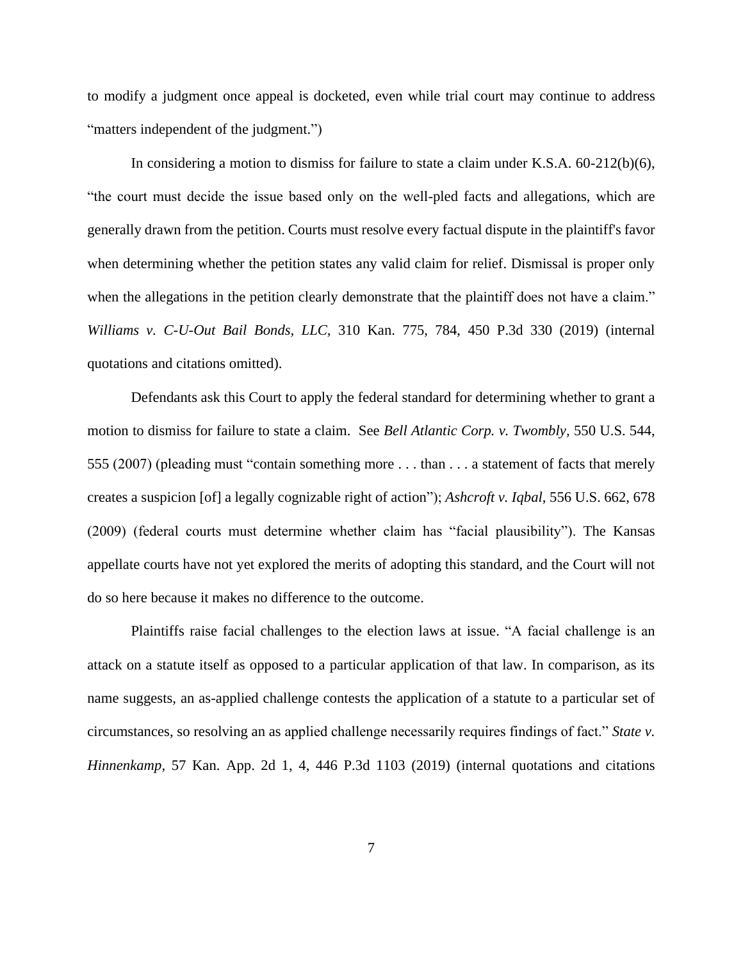to modify a judgment once appeal is docketed, even while trial court may continue to address "matters independent of the judgment.")

In considering a motion to dismiss for failure to state a claim under K.S.A.  $60-212(b)(6)$ , "the court must decide the issue based only on the well-pled facts and allegations, which are generally drawn from the petition. Courts must resolve every factual dispute in the plaintiff's favor when determining whether the petition states any valid claim for relief. Dismissal is proper only when the allegations in the petition clearly demonstrate that the plaintiff does not have a claim." *Williams v. C-U-Out Bail Bonds, LLC,* 310 Kan. 775, 784, 450 P.3d 330 (2019) (internal quotations and citations omitted).

Defendants ask this Court to apply the federal standard for determining whether to grant a motion to dismiss for failure to state a claim. See *Bell Atlantic Corp. v. Twombly,* 550 U.S. 544, 555 (2007) (pleading must "contain something more . . . than . . . a statement of facts that merely creates a suspicion [of] a legally cognizable right of action"); *Ashcroft v. Iqbal,* 556 U.S. 662, 678 (2009) (federal courts must determine whether claim has "facial plausibility"). The Kansas appellate courts have not yet explored the merits of adopting this standard, and the Court will not do so here because it makes no difference to the outcome.

Plaintiffs raise facial challenges to the election laws at issue. "A facial challenge is an attack on a statute itself as opposed to a particular application of that law. In comparison, as its name suggests, an as-applied challenge contests the application of a statute to a particular set of circumstances, so resolving an as applied challenge necessarily requires findings of fact." *State v. Hinnenkamp,* 57 Kan. App. 2d 1, 4, 446 P.3d 1103 (2019) (internal quotations and citations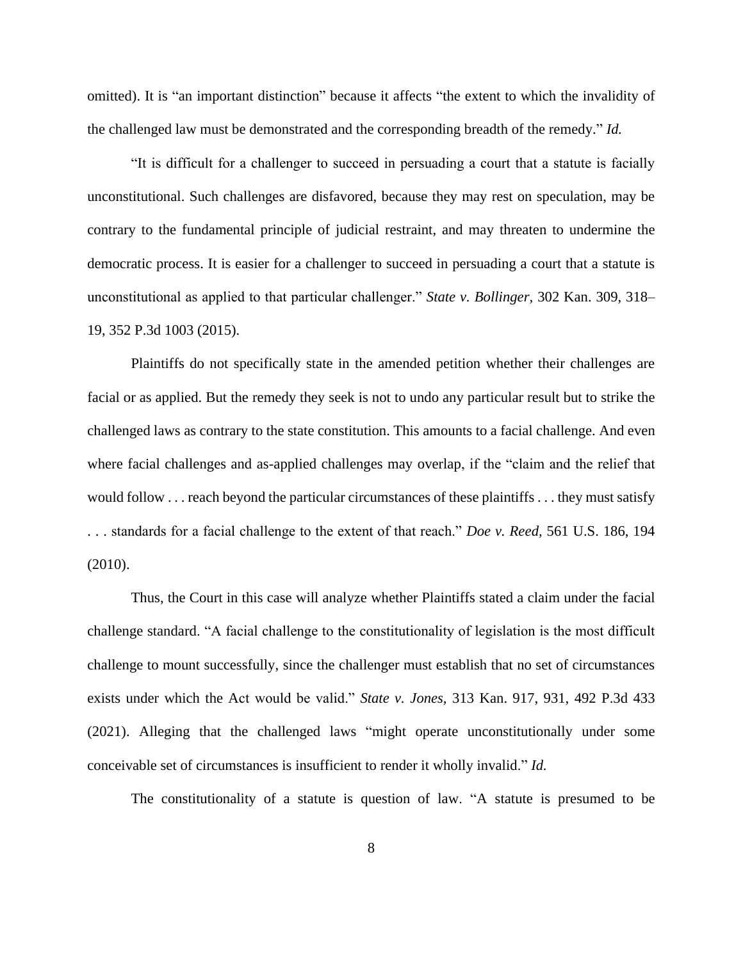omitted). It is "an important distinction" because it affects "the extent to which the invalidity of the challenged law must be demonstrated and the corresponding breadth of the remedy." *Id.*

"It is difficult for a challenger to succeed in persuading a court that a statute is facially unconstitutional. Such challenges are disfavored, because they may rest on speculation, may be contrary to the fundamental principle of judicial restraint, and may threaten to undermine the democratic process. It is easier for a challenger to succeed in persuading a court that a statute is unconstitutional as applied to that particular challenger." *State v. Bollinger,* 302 Kan. 309, 318– 19, 352 P.3d 1003 (2015).

Plaintiffs do not specifically state in the amended petition whether their challenges are facial or as applied. But the remedy they seek is not to undo any particular result but to strike the challenged laws as contrary to the state constitution. This amounts to a facial challenge. And even where facial challenges and as-applied challenges may overlap, if the "claim and the relief that would follow . . . reach beyond the particular circumstances of these plaintiffs . . . they must satisfy . . . standards for a facial challenge to the extent of that reach." *Doe v. Reed,* 561 U.S. 186, 194 (2010).

Thus, the Court in this case will analyze whether Plaintiffs stated a claim under the facial challenge standard. "A facial challenge to the constitutionality of legislation is the most difficult challenge to mount successfully, since the challenger must establish that no set of circumstances exists under which the Act would be valid." *State v. Jones,* 313 Kan. 917, 931, 492 P.3d 433 (2021). Alleging that the challenged laws "might operate unconstitutionally under some conceivable set of circumstances is insufficient to render it wholly invalid." *Id.*

The constitutionality of a statute is question of law. "A statute is presumed to be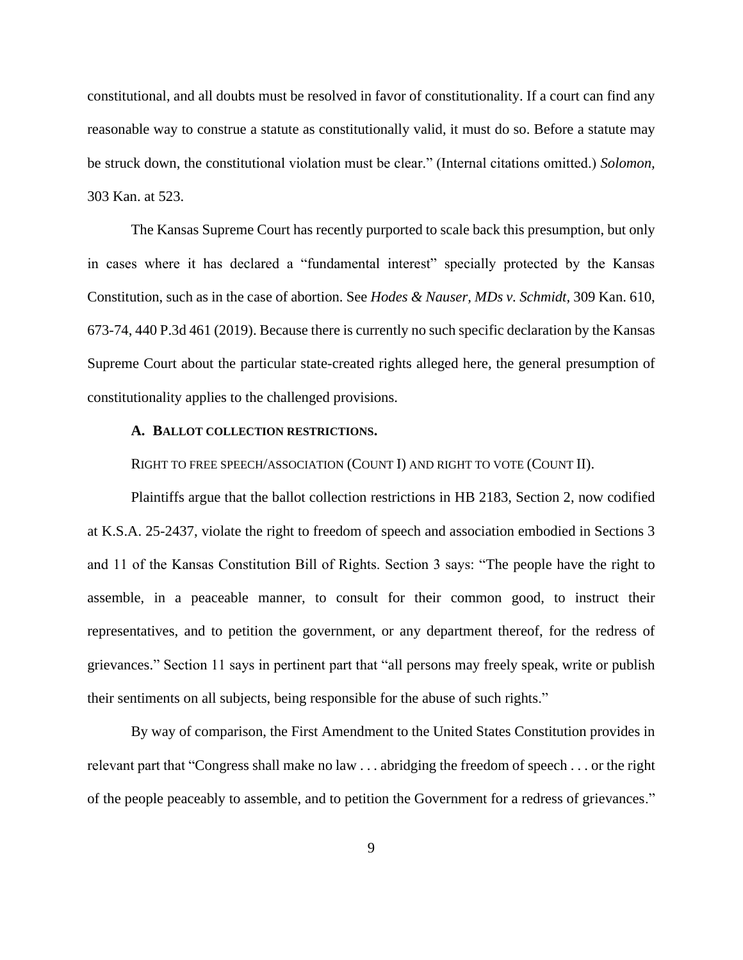constitutional, and all doubts must be resolved in favor of constitutionality. If a court can find any reasonable way to construe a statute as constitutionally valid, it must do so. Before a statute may be struck down, the constitutional violation must be clear." (Internal citations omitted.) *Solomon,* 303 Kan. at 523.

The Kansas Supreme Court has recently purported to scale back this presumption, but only in cases where it has declared a "fundamental interest" specially protected by the Kansas Constitution, such as in the case of abortion. See *Hodes & Nauser, MDs v. Schmidt,* 309 Kan. 610, 673-74, 440 P.3d 461 (2019). Because there is currently no such specific declaration by the Kansas Supreme Court about the particular state-created rights alleged here, the general presumption of constitutionality applies to the challenged provisions.

### **A. BALLOT COLLECTION RESTRICTIONS.**

RIGHT TO FREE SPEECH/ASSOCIATION (COUNT I) AND RIGHT TO VOTE (COUNT II).

Plaintiffs argue that the ballot collection restrictions in HB 2183, Section 2, now codified at K.S.A. 25-2437, violate the right to freedom of speech and association embodied in Sections 3 and 11 of the Kansas Constitution Bill of Rights. Section 3 says: "The people have the right to assemble, in a peaceable manner, to consult for their common good, to instruct their representatives, and to petition the government, or any department thereof, for the redress of grievances." Section 11 says in pertinent part that "all persons may freely speak, write or publish their sentiments on all subjects, being responsible for the abuse of such rights."

By way of comparison, the First Amendment to the United States Constitution provides in relevant part that "Congress shall make no law . . . abridging the freedom of speech . . . or the right of the people peaceably to assemble, and to petition the Government for a redress of grievances."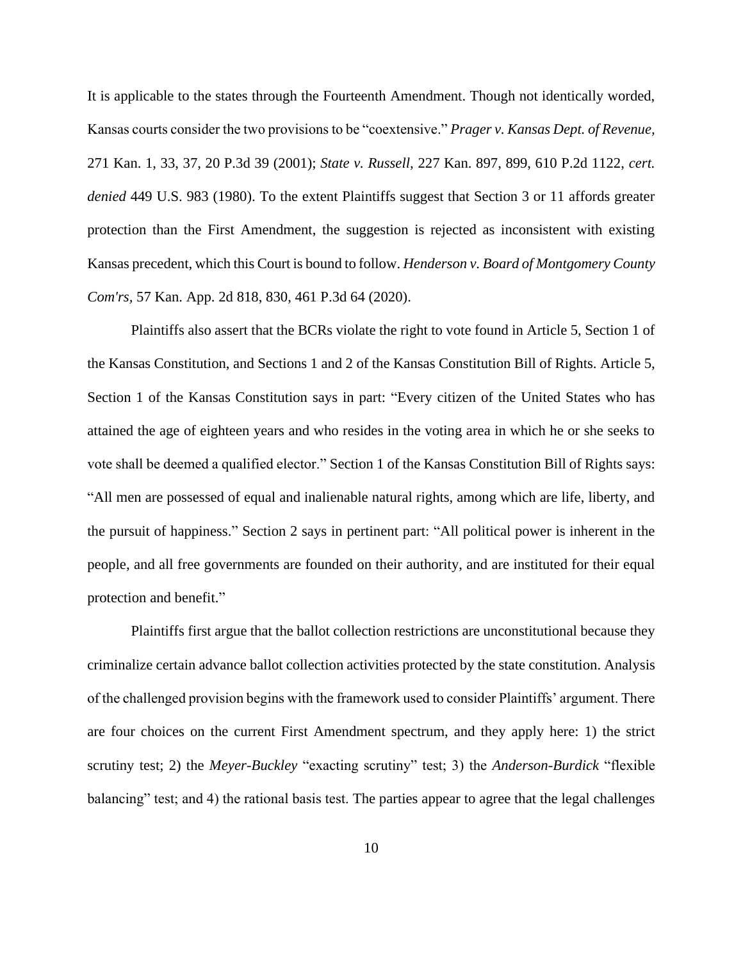It is applicable to the states through the Fourteenth Amendment. Though not identically worded, Kansas courts consider the two provisions to be "coextensive." *Prager v. Kansas Dept. of Revenue,* 271 Kan. 1, 33, 37, 20 P.3d 39 (2001); *State v. Russell,* 227 Kan. 897, 899, 610 P.2d 1122, *cert. denied* 449 U.S. 983 (1980). To the extent Plaintiffs suggest that Section 3 or 11 affords greater protection than the First Amendment, the suggestion is rejected as inconsistent with existing Kansas precedent, which this Court is bound to follow. *Henderson v. Board of Montgomery County Com'rs,* 57 Kan. App. 2d 818, 830, 461 P.3d 64 (2020).

Plaintiffs also assert that the BCRs violate the right to vote found in Article 5, Section 1 of the Kansas Constitution, and Sections 1 and 2 of the Kansas Constitution Bill of Rights. Article 5, Section 1 of the Kansas Constitution says in part: "Every citizen of the United States who has attained the age of eighteen years and who resides in the voting area in which he or she seeks to vote shall be deemed a qualified elector." Section 1 of the Kansas Constitution Bill of Rights says: "All men are possessed of equal and inalienable natural rights, among which are life, liberty, and the pursuit of happiness." Section 2 says in pertinent part: "All political power is inherent in the people, and all free governments are founded on their authority, and are instituted for their equal protection and benefit."

Plaintiffs first argue that the ballot collection restrictions are unconstitutional because they criminalize certain advance ballot collection activities protected by the state constitution. Analysis of the challenged provision begins with the framework used to consider Plaintiffs' argument. There are four choices on the current First Amendment spectrum, and they apply here: 1) the strict scrutiny test; 2) the *Meyer-Buckley* "exacting scrutiny" test; 3) the *Anderson-Burdick* "flexible balancing" test; and 4) the rational basis test. The parties appear to agree that the legal challenges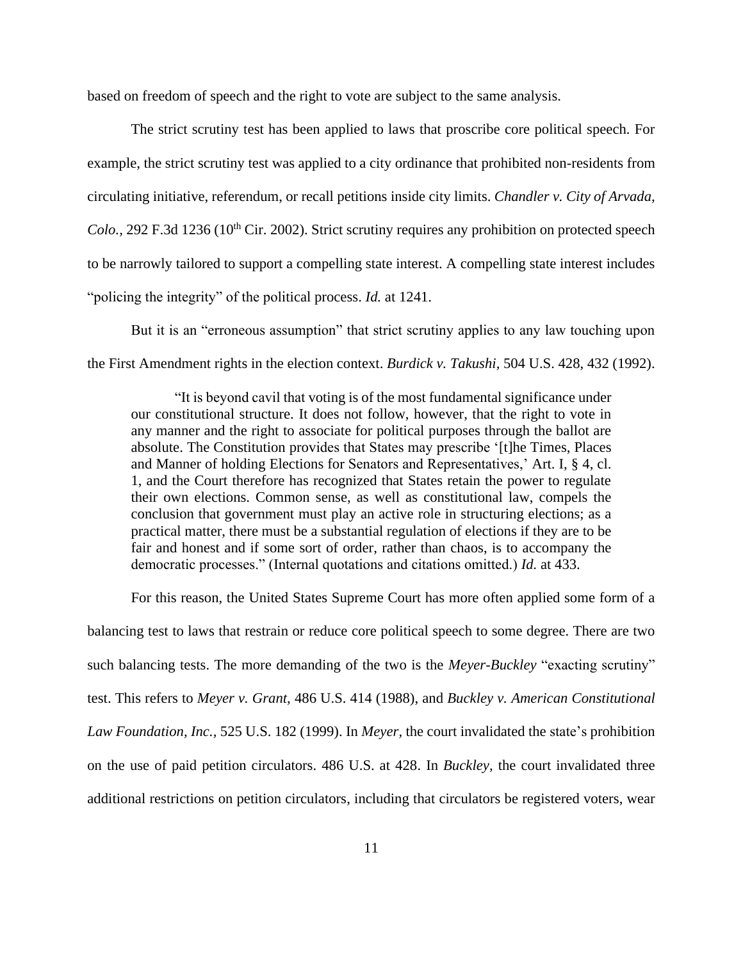based on freedom of speech and the right to vote are subject to the same analysis.

The strict scrutiny test has been applied to laws that proscribe core political speech. For example, the strict scrutiny test was applied to a city ordinance that prohibited non-residents from circulating initiative, referendum, or recall petitions inside city limits. *Chandler v. City of Arvada, Colo.*, 292 F.3d 1236 (10<sup>th</sup> Cir. 2002). Strict scrutiny requires any prohibition on protected speech to be narrowly tailored to support a compelling state interest. A compelling state interest includes "policing the integrity" of the political process. *Id.* at 1241.

But it is an "erroneous assumption" that strict scrutiny applies to any law touching upon the First Amendment rights in the election context. *Burdick v. Takushi,* 504 U.S. 428, 432 (1992).

"It is beyond cavil that voting is of the most fundamental significance under our constitutional structure. It does not follow, however, that the right to vote in any manner and the right to associate for political purposes through the ballot are absolute. The Constitution provides that States may prescribe '[t]he Times, Places and Manner of holding Elections for Senators and Representatives,' Art. I, § 4, cl. 1, and the Court therefore has recognized that States retain the power to regulate their own elections. Common sense, as well as constitutional law, compels the conclusion that government must play an active role in structuring elections; as a practical matter, there must be a substantial regulation of elections if they are to be fair and honest and if some sort of order, rather than chaos, is to accompany the democratic processes." (Internal quotations and citations omitted.) *Id.* at 433.

For this reason, the United States Supreme Court has more often applied some form of a balancing test to laws that restrain or reduce core political speech to some degree. There are two such balancing tests. The more demanding of the two is the *Meyer-Buckley* "exacting scrutiny" test. This refers to *Meyer v. Grant,* 486 U.S. 414 (1988), and *Buckley v. American Constitutional Law Foundation, Inc.,* 525 U.S. 182 (1999). In *Meyer,* the court invalidated the state's prohibition on the use of paid petition circulators. 486 U.S. at 428. In *Buckley,* the court invalidated three additional restrictions on petition circulators, including that circulators be registered voters, wear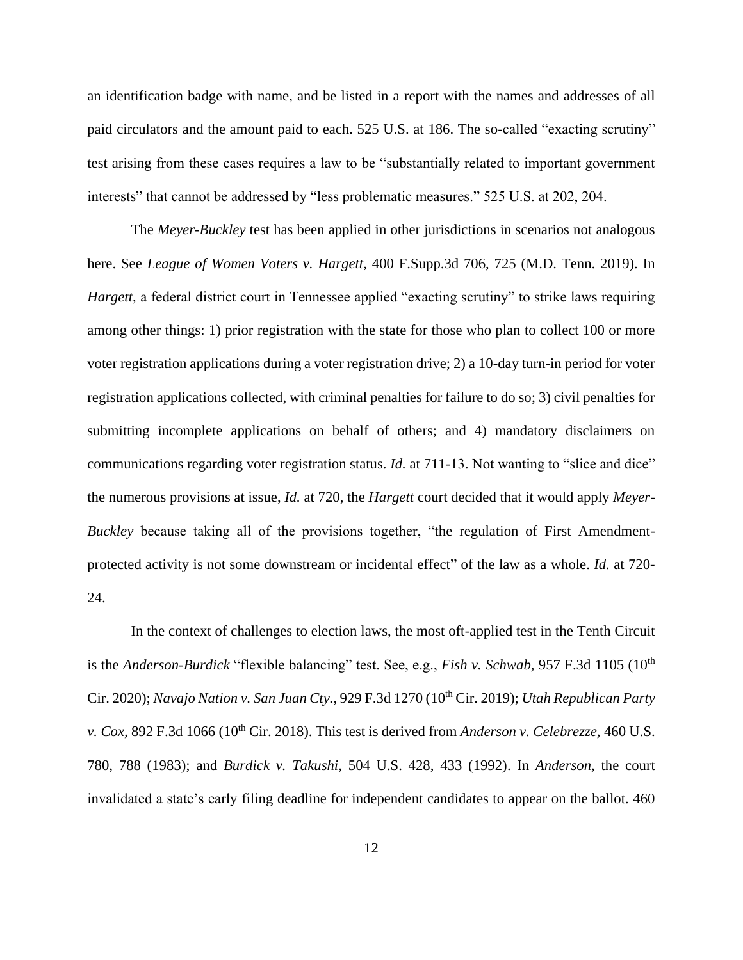an identification badge with name, and be listed in a report with the names and addresses of all paid circulators and the amount paid to each. 525 U.S. at 186. The so-called "exacting scrutiny" test arising from these cases requires a law to be "substantially related to important government interests" that cannot be addressed by "less problematic measures." 525 U.S. at 202, 204.

The *Meyer-Buckley* test has been applied in other jurisdictions in scenarios not analogous here. See *League of Women Voters v. Hargett,* 400 F.Supp.3d 706, 725 (M.D. Tenn. 2019). In *Hargett*, a federal district court in Tennessee applied "exacting scrutiny" to strike laws requiring among other things: 1) prior registration with the state for those who plan to collect 100 or more voter registration applications during a voter registration drive; 2) a 10-day turn-in period for voter registration applications collected, with criminal penalties for failure to do so; 3) civil penalties for submitting incomplete applications on behalf of others; and 4) mandatory disclaimers on communications regarding voter registration status. *Id.* at 711-13. Not wanting to "slice and dice" the numerous provisions at issue, *Id.* at 720, the *Hargett* court decided that it would apply *Meyer-Buckley* because taking all of the provisions together, "the regulation of First Amendmentprotected activity is not some downstream or incidental effect" of the law as a whole. *Id.* at 720- 24.

In the context of challenges to election laws, the most oft-applied test in the Tenth Circuit is the *Anderson-Burdick* "flexible balancing" test. See, e.g., *Fish v. Schwab*, 957 F.3d 1105 (10<sup>th</sup> Cir. 2020); *Navajo Nation v. San Juan Cty.,* 929 F.3d 1270 (10th Cir. 2019); *Utah Republican Party v. Cox,* 892 F.3d 1066 (10<sup>th</sup> Cir. 2018). This test is derived from *Anderson v. Celebrezze*, 460 U.S. 780, 788 (1983); and *Burdick v. Takushi,* 504 U.S. 428, 433 (1992). In *Anderson,* the court invalidated a state's early filing deadline for independent candidates to appear on the ballot. 460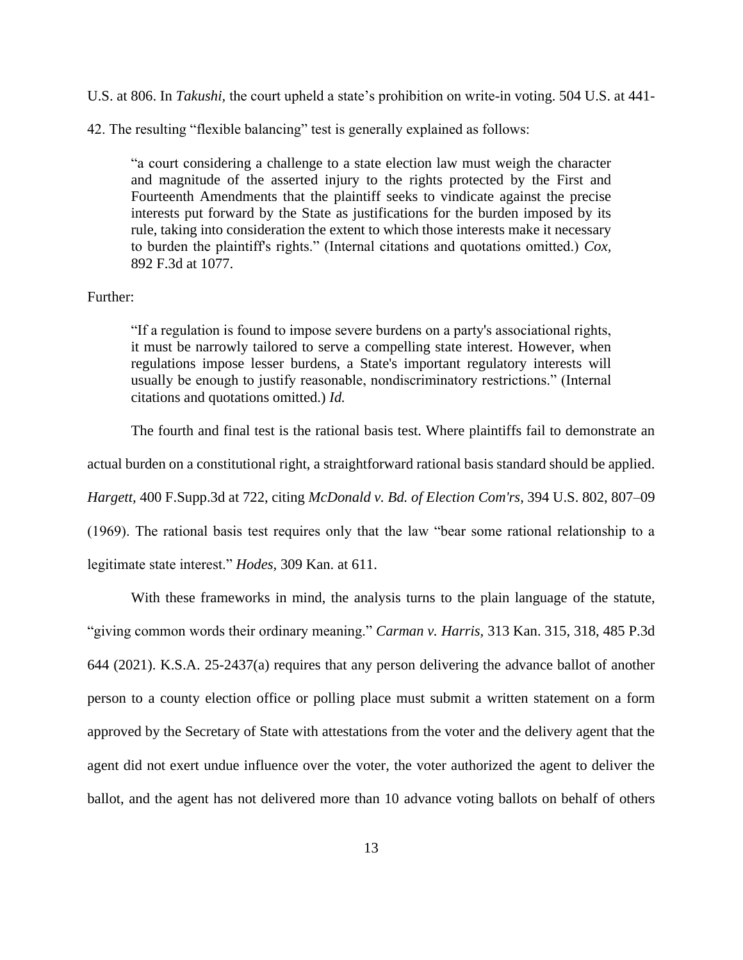U.S. at 806. In *Takushi,* the court upheld a state's prohibition on write-in voting. 504 U.S. at 441-

42. The resulting "flexible balancing" test is generally explained as follows:

"a court considering a challenge to a state election law must weigh the character and magnitude of the asserted injury to the rights protected by the First and Fourteenth Amendments that the plaintiff seeks to vindicate against the precise interests put forward by the State as justifications for the burden imposed by its rule, taking into consideration the extent to which those interests make it necessary to burden the plaintiff's rights." (Internal citations and quotations omitted.) *Cox,* 892 F.3d at 1077.

## Further:

"If a regulation is found to impose severe burdens on a party's associational rights, it must be narrowly tailored to serve a compelling state interest. However, when regulations impose lesser burdens, a State's important regulatory interests will usually be enough to justify reasonable, nondiscriminatory restrictions." (Internal citations and quotations omitted.) *Id.*

The fourth and final test is the rational basis test. Where plaintiffs fail to demonstrate an

actual burden on a constitutional right, a straightforward rational basis standard should be applied.

*Hargett,* 400 F.Supp.3d at 722, citing *McDonald v. Bd. of Election Com'rs,* 394 U.S. 802, 807–09

(1969). The rational basis test requires only that the law "bear some rational relationship to a

legitimate state interest." *Hodes,* 309 Kan. at 611.

With these frameworks in mind, the analysis turns to the plain language of the statute, "giving common words their ordinary meaning." *Carman v. Harris,* 313 Kan. 315, 318, 485 P.3d 644 (2021). K.S.A. 25-2437(a) requires that any person delivering the advance ballot of another person to a county election office or polling place must submit a written statement on a form approved by the Secretary of State with attestations from the voter and the delivery agent that the agent did not exert undue influence over the voter, the voter authorized the agent to deliver the ballot, and the agent has not delivered more than 10 advance voting ballots on behalf of others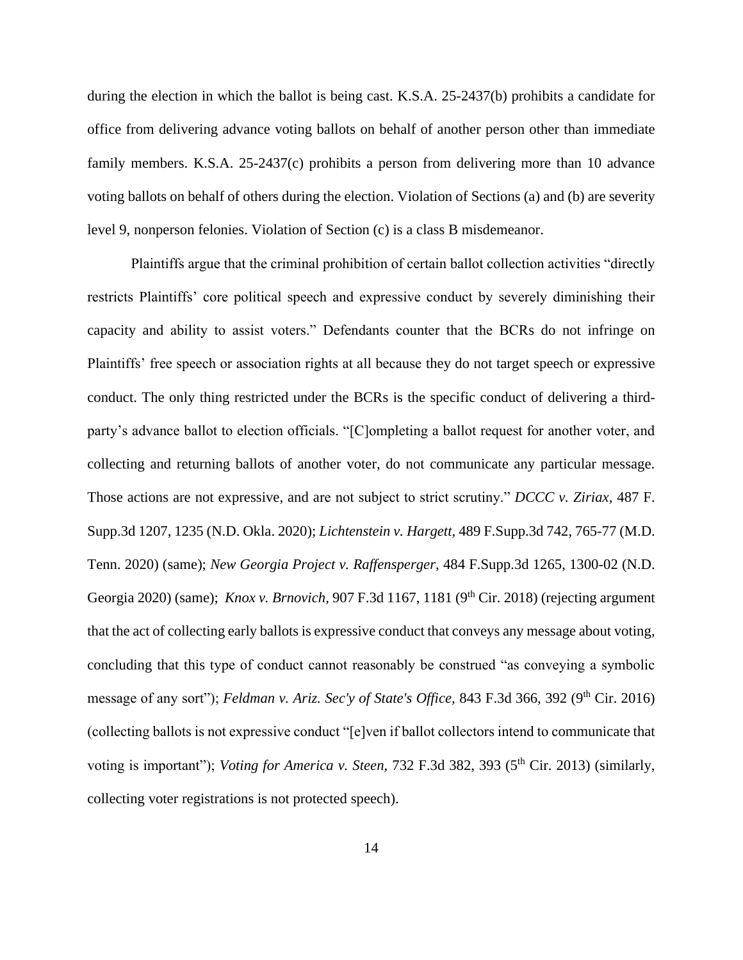during the election in which the ballot is being cast. K.S.A. 25-2437(b) prohibits a candidate for office from delivering advance voting ballots on behalf of another person other than immediate family members. K.S.A. 25-2437(c) prohibits a person from delivering more than 10 advance voting ballots on behalf of others during the election. Violation of Sections (a) and (b) are severity level 9, nonperson felonies. Violation of Section (c) is a class B misdemeanor.

Plaintiffs argue that the criminal prohibition of certain ballot collection activities "directly restricts Plaintiffs' core political speech and expressive conduct by severely diminishing their capacity and ability to assist voters." Defendants counter that the BCRs do not infringe on Plaintiffs' free speech or association rights at all because they do not target speech or expressive conduct. The only thing restricted under the BCRs is the specific conduct of delivering a thirdparty's advance ballot to election officials. "[C]ompleting a ballot request for another voter, and collecting and returning ballots of another voter, do not communicate any particular message. Those actions are not expressive, and are not subject to strict scrutiny." *DCCC v. Ziriax,* 487 F. Supp.3d 1207, 1235 (N.D. Okla. 2020); *Lichtenstein v. Hargett,* 489 F.Supp.3d 742, 765-77 (M.D. Tenn. 2020) (same); *New Georgia Project v. Raffensperger,* 484 F.Supp.3d 1265, 1300-02 (N.D. Georgia 2020) (same); *Knox v. Brnovich,* 907 F.3d 1167, 1181 (9th Cir. 2018) (rejecting argument that the act of collecting early ballots is expressive conduct that conveys any message about voting, concluding that this type of conduct cannot reasonably be construed "as conveying a symbolic message of any sort"); *Feldman v. Ariz. Sec'y of State's Office*, 843 F.3d 366, 392 (9<sup>th</sup> Cir. 2016) (collecting ballots is not expressive conduct "[e]ven if ballot collectors intend to communicate that voting is important"); *Voting for America v. Steen,* 732 F.3d 382, 393 (5<sup>th</sup> Cir. 2013) (similarly, collecting voter registrations is not protected speech).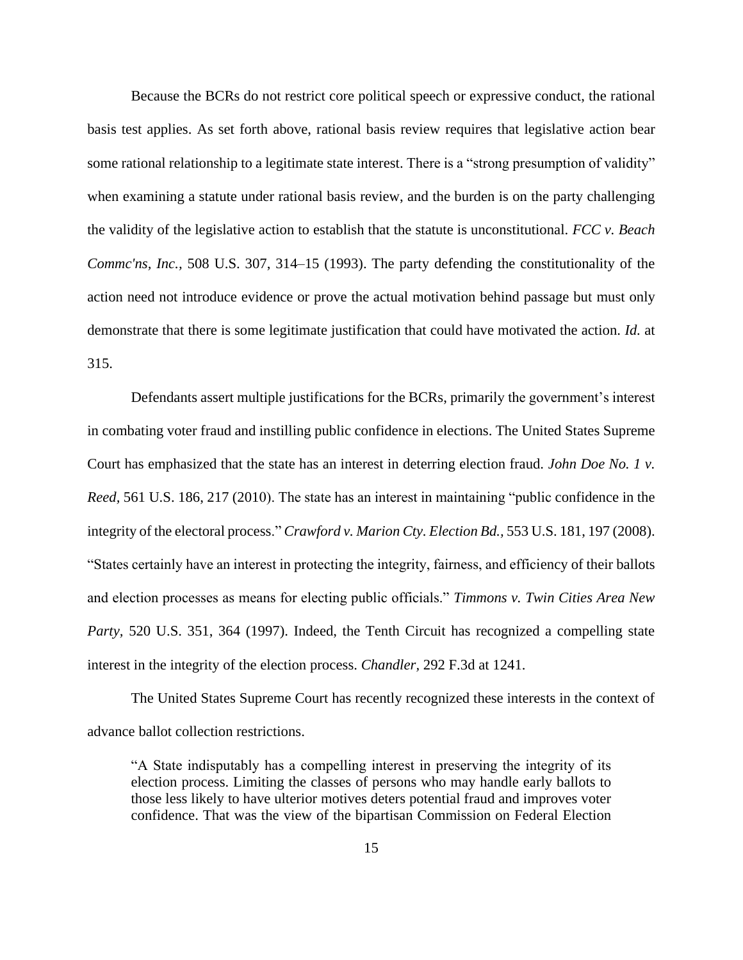Because the BCRs do not restrict core political speech or expressive conduct, the rational basis test applies. As set forth above, rational basis review requires that legislative action bear some rational relationship to a legitimate state interest. There is a "strong presumption of validity" when examining a statute under rational basis review, and the burden is on the party challenging the validity of the legislative action to establish that the statute is unconstitutional. *FCC v. Beach Commc'ns, Inc.,* 508 U.S. 307, 314–15 (1993). The party defending the constitutionality of the action need not introduce evidence or prove the actual motivation behind passage but must only demonstrate that there is some legitimate justification that could have motivated the action. *Id.* at 315.

Defendants assert multiple justifications for the BCRs, primarily the government's interest in combating voter fraud and instilling public confidence in elections. The United States Supreme Court has emphasized that the state has an interest in deterring election fraud. *John Doe No. 1 v. Reed,* 561 U.S. 186, 217 (2010). The state has an interest in maintaining "public confidence in the integrity of the electoral process." *Crawford v. Marion Cty. Election Bd.,* 553 U.S. 181, 197 (2008). "States certainly have an interest in protecting the integrity, fairness, and efficiency of their ballots and election processes as means for electing public officials." *Timmons v. Twin Cities Area New Party,* 520 U.S. 351, 364 (1997). Indeed, the Tenth Circuit has recognized a compelling state interest in the integrity of the election process. *Chandler,* 292 F.3d at 1241.

The United States Supreme Court has recently recognized these interests in the context of advance ballot collection restrictions.

"A State indisputably has a compelling interest in preserving the integrity of its election process. Limiting the classes of persons who may handle early ballots to those less likely to have ulterior motives deters potential fraud and improves voter confidence. That was the view of the bipartisan Commission on Federal Election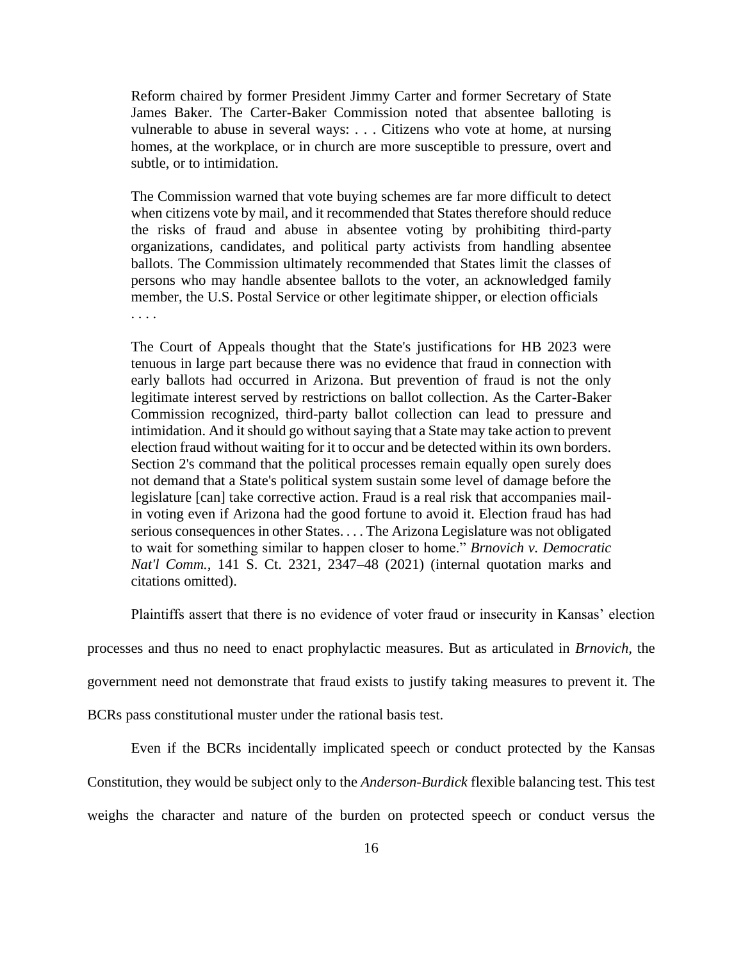Reform chaired by former President Jimmy Carter and former Secretary of State James Baker. The Carter-Baker Commission noted that absentee balloting is vulnerable to abuse in several ways: . . . Citizens who vote at home, at nursing homes, at the workplace, or in church are more susceptible to pressure, overt and subtle, or to intimidation.

The Commission warned that vote buying schemes are far more difficult to detect when citizens vote by mail, and it recommended that States therefore should reduce the risks of fraud and abuse in absentee voting by prohibiting third-party organizations, candidates, and political party activists from handling absentee ballots. The Commission ultimately recommended that States limit the classes of persons who may handle absentee ballots to the voter, an acknowledged family member, the U.S. Postal Service or other legitimate shipper, or election officials . . . .

The Court of Appeals thought that the State's justifications for HB 2023 were tenuous in large part because there was no evidence that fraud in connection with early ballots had occurred in Arizona. But prevention of fraud is not the only legitimate interest served by restrictions on ballot collection. As the Carter-Baker Commission recognized, third-party ballot collection can lead to pressure and intimidation. And it should go without saying that a State may take action to prevent election fraud without waiting for it to occur and be detected within its own borders. Section 2's command that the political processes remain equally open surely does not demand that a State's political system sustain some level of damage before the legislature [can] take corrective action. Fraud is a real risk that accompanies mailin voting even if Arizona had the good fortune to avoid it. Election fraud has had serious consequences in other States. . . . The Arizona Legislature was not obligated to wait for something similar to happen closer to home." *Brnovich v. Democratic Nat'l Comm.,* 141 S. Ct. 2321, 2347–48 (2021) (internal quotation marks and citations omitted).

Plaintiffs assert that there is no evidence of voter fraud or insecurity in Kansas' election

processes and thus no need to enact prophylactic measures. But as articulated in *Brnovich,* the

government need not demonstrate that fraud exists to justify taking measures to prevent it. The

BCRs pass constitutional muster under the rational basis test.

Even if the BCRs incidentally implicated speech or conduct protected by the Kansas Constitution, they would be subject only to the *Anderson-Burdick* flexible balancing test. This test weighs the character and nature of the burden on protected speech or conduct versus the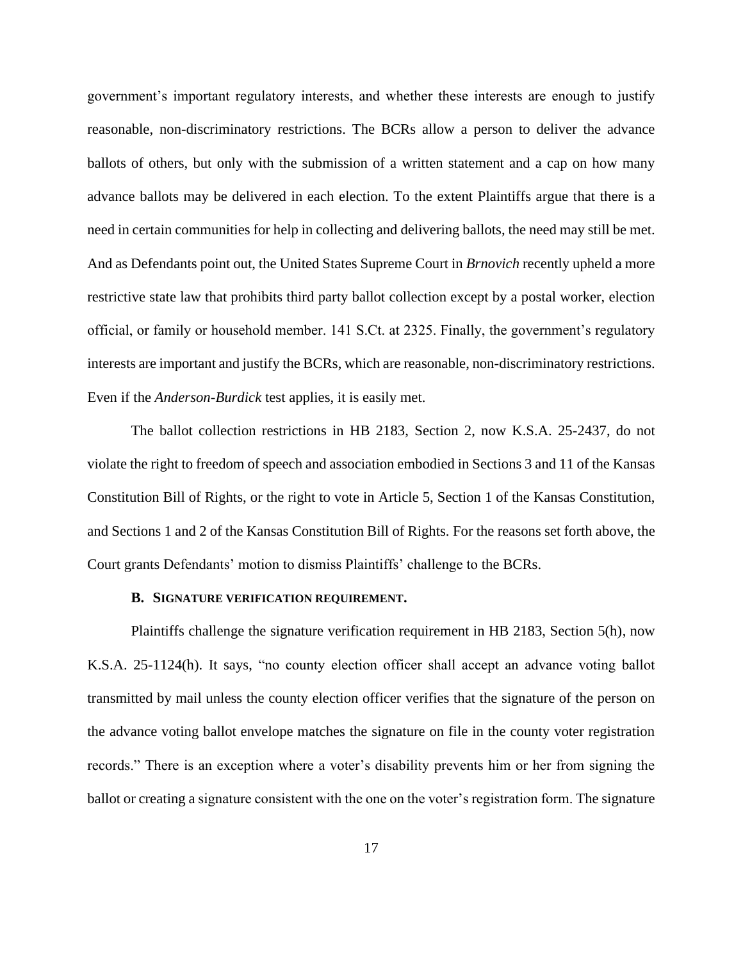government's important regulatory interests, and whether these interests are enough to justify reasonable, non-discriminatory restrictions. The BCRs allow a person to deliver the advance ballots of others, but only with the submission of a written statement and a cap on how many advance ballots may be delivered in each election. To the extent Plaintiffs argue that there is a need in certain communities for help in collecting and delivering ballots, the need may still be met. And as Defendants point out, the United States Supreme Court in *Brnovich* recently upheld a more restrictive state law that prohibits third party ballot collection except by a postal worker, election official, or family or household member. 141 S.Ct. at 2325. Finally, the government's regulatory interests are important and justify the BCRs, which are reasonable, non-discriminatory restrictions. Even if the *Anderson-Burdick* test applies, it is easily met.

The ballot collection restrictions in HB 2183, Section 2, now K.S.A. 25-2437, do not violate the right to freedom of speech and association embodied in Sections 3 and 11 of the Kansas Constitution Bill of Rights, or the right to vote in Article 5, Section 1 of the Kansas Constitution, and Sections 1 and 2 of the Kansas Constitution Bill of Rights. For the reasons set forth above, the Court grants Defendants' motion to dismiss Plaintiffs' challenge to the BCRs.

#### **B. SIGNATURE VERIFICATION REQUIREMENT.**

Plaintiffs challenge the signature verification requirement in HB 2183, Section 5(h), now K.S.A. 25-1124(h). It says, "no county election officer shall accept an advance voting ballot transmitted by mail unless the county election officer verifies that the signature of the person on the advance voting ballot envelope matches the signature on file in the county voter registration records." There is an exception where a voter's disability prevents him or her from signing the ballot or creating a signature consistent with the one on the voter's registration form. The signature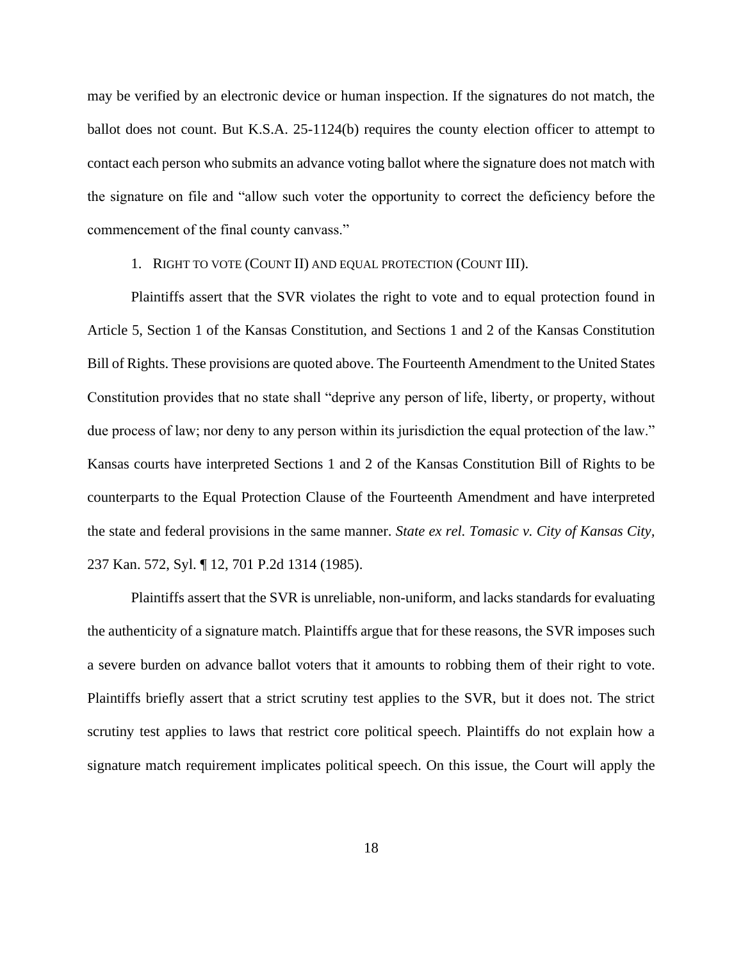may be verified by an electronic device or human inspection. If the signatures do not match, the ballot does not count. But K.S.A. 25-1124(b) requires the county election officer to attempt to contact each person who submits an advance voting ballot where the signature does not match with the signature on file and "allow such voter the opportunity to correct the deficiency before the commencement of the final county canvass."

## 1. RIGHT TO VOTE (COUNT II) AND EQUAL PROTECTION (COUNT III).

Plaintiffs assert that the SVR violates the right to vote and to equal protection found in Article 5, Section 1 of the Kansas Constitution, and Sections 1 and 2 of the Kansas Constitution Bill of Rights. These provisions are quoted above. The Fourteenth Amendment to the United States Constitution provides that no state shall "deprive any person of life, liberty, or property, without due process of law; nor deny to any person within its jurisdiction the equal protection of the law." Kansas courts have interpreted Sections 1 and 2 of the Kansas Constitution Bill of Rights to be counterparts to the Equal Protection Clause of the Fourteenth Amendment and have interpreted the state and federal provisions in the same manner. *State ex rel. Tomasic v. City of Kansas City,* 237 Kan. 572, Syl. ¶ 12, 701 P.2d 1314 (1985).

Plaintiffs assert that the SVR is unreliable, non-uniform, and lacks standards for evaluating the authenticity of a signature match. Plaintiffs argue that for these reasons, the SVR imposes such a severe burden on advance ballot voters that it amounts to robbing them of their right to vote. Plaintiffs briefly assert that a strict scrutiny test applies to the SVR, but it does not. The strict scrutiny test applies to laws that restrict core political speech. Plaintiffs do not explain how a signature match requirement implicates political speech. On this issue, the Court will apply the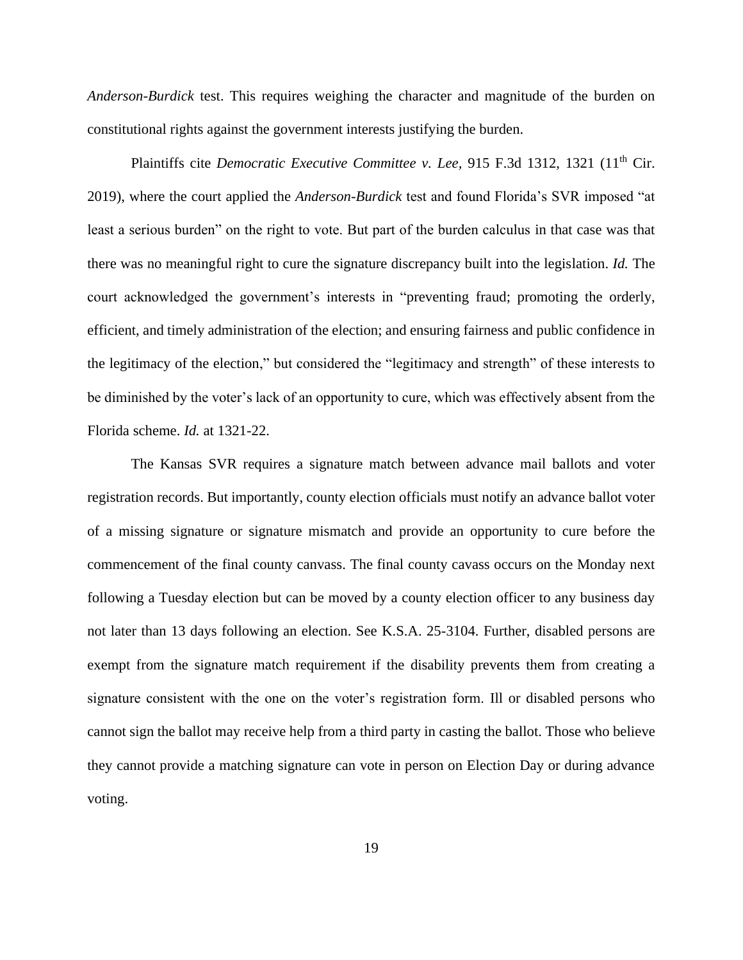*Anderson-Burdick* test. This requires weighing the character and magnitude of the burden on constitutional rights against the government interests justifying the burden.

Plaintiffs cite *Democratic Executive Committee v. Lee*, 915 F.3d 1312, 1321 (11<sup>th</sup> Cir. 2019), where the court applied the *Anderson-Burdick* test and found Florida's SVR imposed "at least a serious burden" on the right to vote. But part of the burden calculus in that case was that there was no meaningful right to cure the signature discrepancy built into the legislation. *Id.* The court acknowledged the government's interests in "preventing fraud; promoting the orderly, efficient, and timely administration of the election; and ensuring fairness and public confidence in the legitimacy of the election," but considered the "legitimacy and strength" of these interests to be diminished by the voter's lack of an opportunity to cure, which was effectively absent from the Florida scheme. *Id.* at 1321-22.

The Kansas SVR requires a signature match between advance mail ballots and voter registration records. But importantly, county election officials must notify an advance ballot voter of a missing signature or signature mismatch and provide an opportunity to cure before the commencement of the final county canvass. The final county cavass occurs on the Monday next following a Tuesday election but can be moved by a county election officer to any business day not later than 13 days following an election. See K.S.A. 25-3104. Further, disabled persons are exempt from the signature match requirement if the disability prevents them from creating a signature consistent with the one on the voter's registration form. Ill or disabled persons who cannot sign the ballot may receive help from a third party in casting the ballot. Those who believe they cannot provide a matching signature can vote in person on Election Day or during advance voting.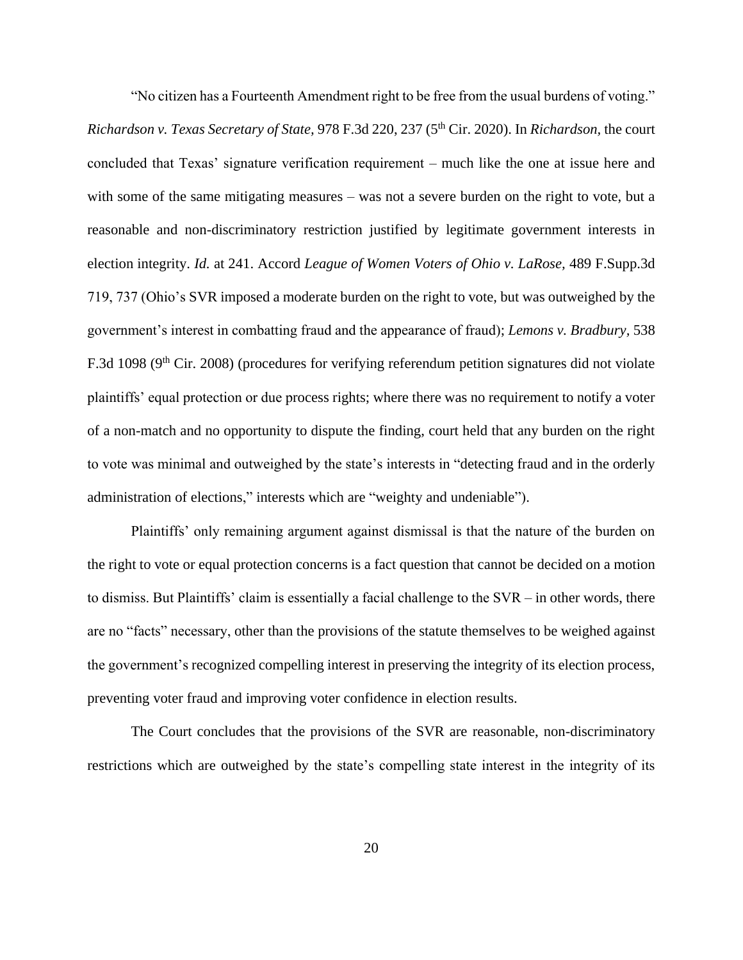"No citizen has a Fourteenth Amendment right to be free from the usual burdens of voting." *Richardson v. Texas Secretary of State,* 978 F.3d 220, 237 (5th Cir. 2020). In *Richardson,* the court concluded that Texas' signature verification requirement – much like the one at issue here and with some of the same mitigating measures – was not a severe burden on the right to vote, but a reasonable and non-discriminatory restriction justified by legitimate government interests in election integrity. *Id.* at 241. Accord *League of Women Voters of Ohio v. LaRose,* 489 F.Supp.3d 719, 737 (Ohio's SVR imposed a moderate burden on the right to vote, but was outweighed by the government's interest in combatting fraud and the appearance of fraud); *Lemons v. Bradbury,* 538 F.3d 1098 (9<sup>th</sup> Cir. 2008) (procedures for verifying referendum petition signatures did not violate plaintiffs' equal protection or due process rights; where there was no requirement to notify a voter of a non-match and no opportunity to dispute the finding, court held that any burden on the right to vote was minimal and outweighed by the state's interests in "detecting fraud and in the orderly administration of elections," interests which are "weighty and undeniable").

Plaintiffs' only remaining argument against dismissal is that the nature of the burden on the right to vote or equal protection concerns is a fact question that cannot be decided on a motion to dismiss. But Plaintiffs' claim is essentially a facial challenge to the SVR – in other words, there are no "facts" necessary, other than the provisions of the statute themselves to be weighed against the government's recognized compelling interest in preserving the integrity of its election process, preventing voter fraud and improving voter confidence in election results.

The Court concludes that the provisions of the SVR are reasonable, non-discriminatory restrictions which are outweighed by the state's compelling state interest in the integrity of its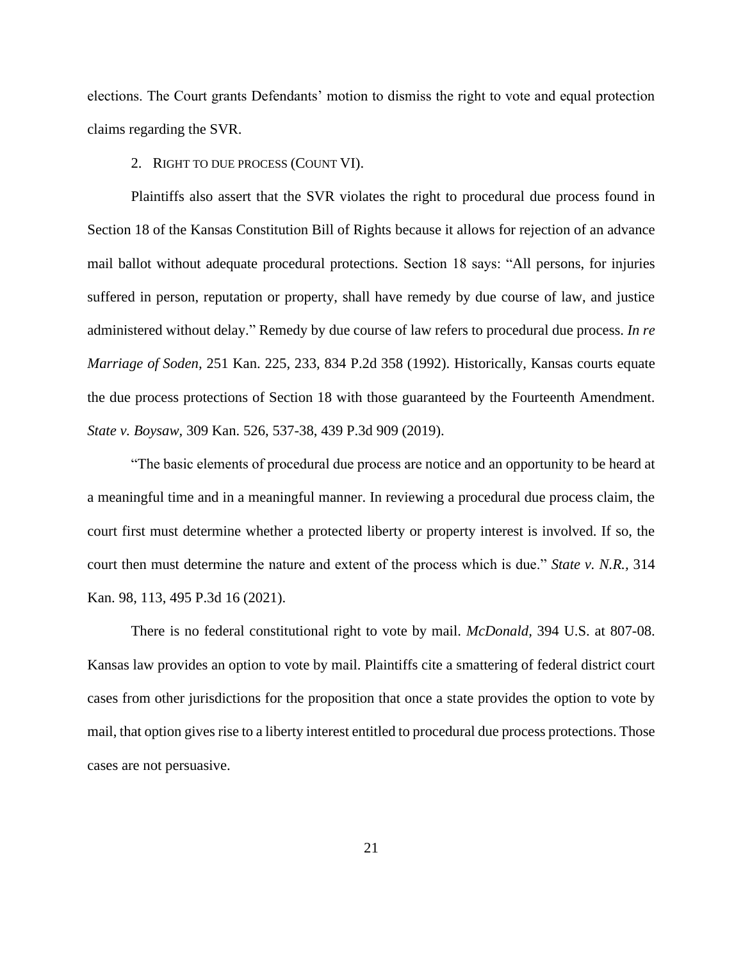elections. The Court grants Defendants' motion to dismiss the right to vote and equal protection claims regarding the SVR.

2. RIGHT TO DUE PROCESS (COUNT VI).

Plaintiffs also assert that the SVR violates the right to procedural due process found in Section 18 of the Kansas Constitution Bill of Rights because it allows for rejection of an advance mail ballot without adequate procedural protections. Section 18 says: "All persons, for injuries suffered in person, reputation or property, shall have remedy by due course of law, and justice administered without delay." Remedy by due course of law refers to procedural due process. *In re Marriage of Soden,* 251 Kan. 225, 233, 834 P.2d 358 (1992). Historically, Kansas courts equate the due process protections of Section 18 with those guaranteed by the Fourteenth Amendment. *State v. Boysaw,* 309 Kan. 526, 537-38, 439 P.3d 909 (2019).

"The basic elements of procedural due process are notice and an opportunity to be heard at a meaningful time and in a meaningful manner. In reviewing a procedural due process claim, the court first must determine whether a protected liberty or property interest is involved. If so, the court then must determine the nature and extent of the process which is due." *State v. N.R.,* 314 Kan. 98, 113, 495 P.3d 16 (2021).

There is no federal constitutional right to vote by mail. *McDonald,* 394 U.S. at 807-08. Kansas law provides an option to vote by mail. Plaintiffs cite a smattering of federal district court cases from other jurisdictions for the proposition that once a state provides the option to vote by mail, that option gives rise to a liberty interest entitled to procedural due process protections. Those cases are not persuasive.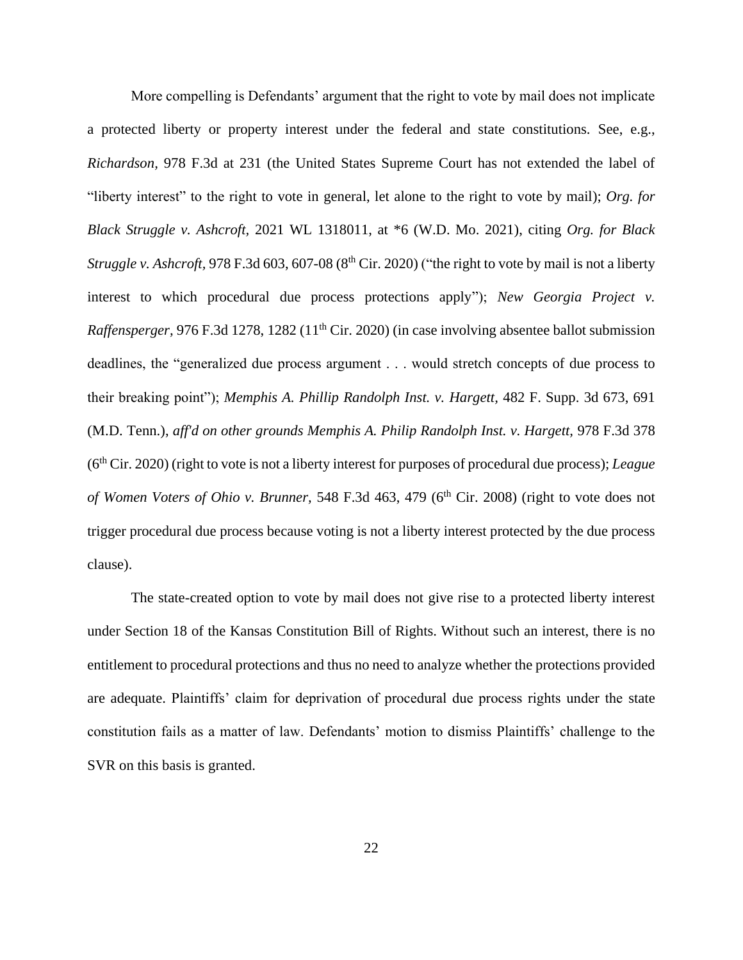More compelling is Defendants' argument that the right to vote by mail does not implicate a protected liberty or property interest under the federal and state constitutions. See, e.g., *Richardson,* 978 F.3d at 231 (the United States Supreme Court has not extended the label of "liberty interest" to the right to vote in general, let alone to the right to vote by mail); *Org. for Black Struggle v. Ashcroft,* 2021 WL 1318011, at \*6 (W.D. Mo. 2021), citing *Org. for Black Struggle v. Ashcroft,* 978 F.3d 603, 607-08 (8<sup>th</sup> Cir. 2020) ("the right to vote by mail is not a liberty interest to which procedural due process protections apply"); *New Georgia Project v. Raffensperger,* 976 F.3d 1278, 1282 (11<sup>th</sup> Cir. 2020) (in case involving absentee ballot submission deadlines, the "generalized due process argument . . . would stretch concepts of due process to their breaking point"); *Memphis A. Phillip Randolph Inst. v. Hargett,* 482 F. Supp. 3d 673, 691 (M.D. Tenn.), *aff'd on other grounds Memphis A. Philip Randolph Inst. v. Hargett,* 978 F.3d 378 (6th Cir. 2020) (right to vote is not a liberty interest for purposes of procedural due process); *League of Women Voters of Ohio v. Brunner,* 548 F.3d 463, 479 (6<sup>th</sup> Cir. 2008) (right to vote does not trigger procedural due process because voting is not a liberty interest protected by the due process clause).

The state-created option to vote by mail does not give rise to a protected liberty interest under Section 18 of the Kansas Constitution Bill of Rights. Without such an interest, there is no entitlement to procedural protections and thus no need to analyze whether the protections provided are adequate. Plaintiffs' claim for deprivation of procedural due process rights under the state constitution fails as a matter of law. Defendants' motion to dismiss Plaintiffs' challenge to the SVR on this basis is granted.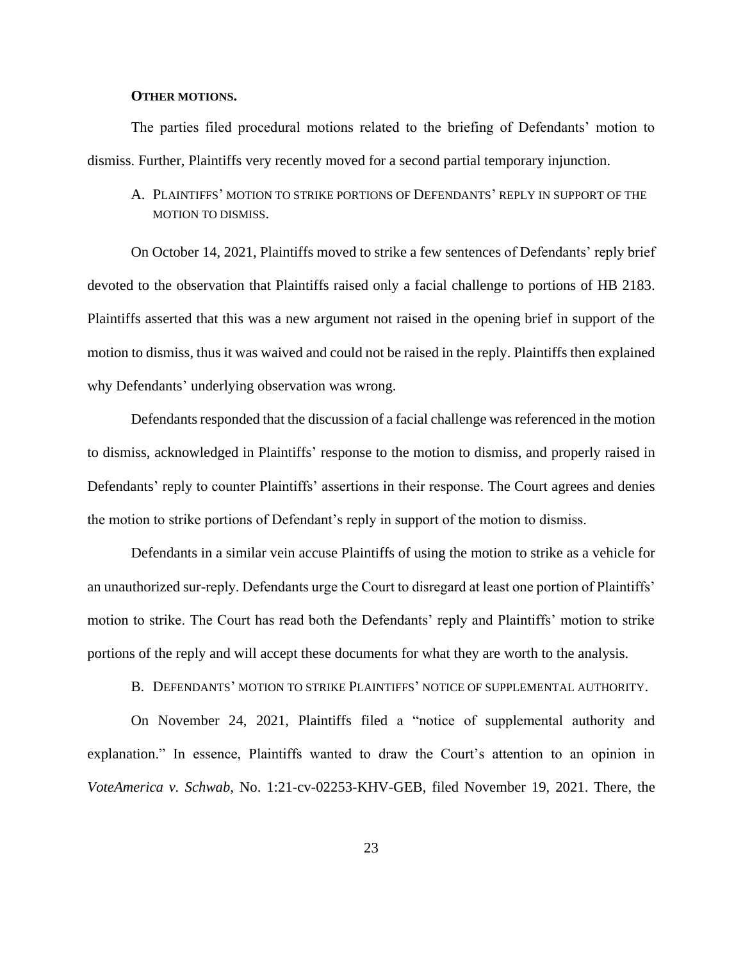## **OTHER MOTIONS.**

The parties filed procedural motions related to the briefing of Defendants' motion to dismiss. Further, Plaintiffs very recently moved for a second partial temporary injunction.

A. PLAINTIFFS' MOTION TO STRIKE PORTIONS OF DEFENDANTS' REPLY IN SUPPORT OF THE MOTION TO DISMISS.

On October 14, 2021, Plaintiffs moved to strike a few sentences of Defendants' reply brief devoted to the observation that Plaintiffs raised only a facial challenge to portions of HB 2183. Plaintiffs asserted that this was a new argument not raised in the opening brief in support of the motion to dismiss, thus it was waived and could not be raised in the reply. Plaintiffs then explained why Defendants' underlying observation was wrong.

Defendants responded that the discussion of a facial challenge was referenced in the motion to dismiss, acknowledged in Plaintiffs' response to the motion to dismiss, and properly raised in Defendants' reply to counter Plaintiffs' assertions in their response. The Court agrees and denies the motion to strike portions of Defendant's reply in support of the motion to dismiss.

Defendants in a similar vein accuse Plaintiffs of using the motion to strike as a vehicle for an unauthorized sur-reply. Defendants urge the Court to disregard at least one portion of Plaintiffs' motion to strike. The Court has read both the Defendants' reply and Plaintiffs' motion to strike portions of the reply and will accept these documents for what they are worth to the analysis.

B. DEFENDANTS' MOTION TO STRIKE PLAINTIFFS' NOTICE OF SUPPLEMENTAL AUTHORITY.

On November 24, 2021, Plaintiffs filed a "notice of supplemental authority and explanation." In essence, Plaintiffs wanted to draw the Court's attention to an opinion in *VoteAmerica v. Schwab*, No. 1:21-cv-02253-KHV-GEB, filed November 19, 2021. There, the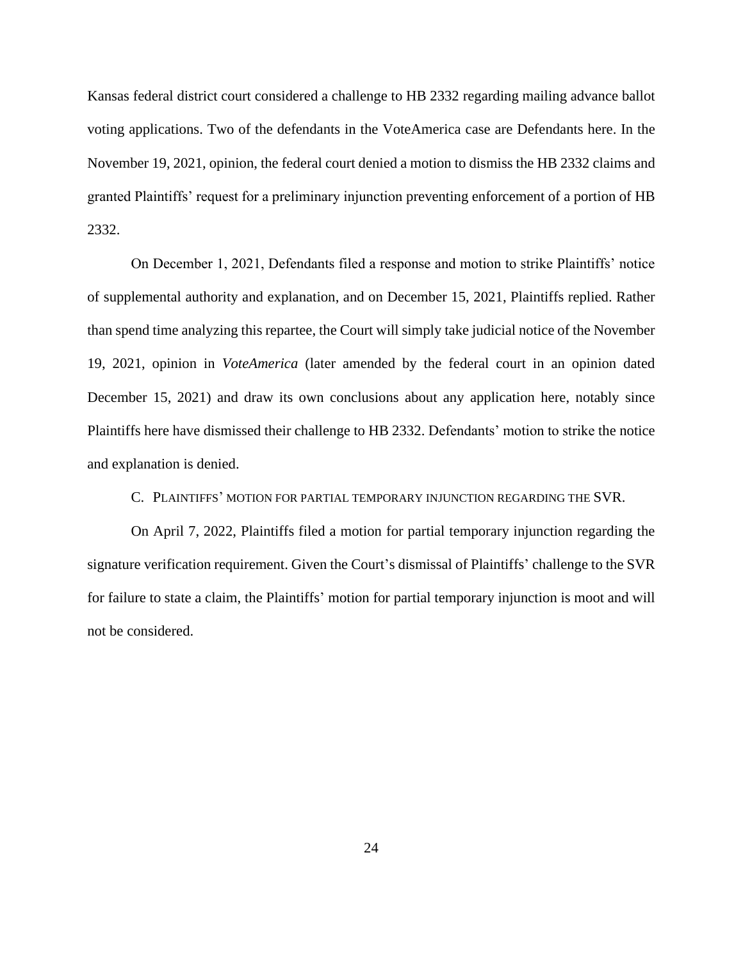Kansas federal district court considered a challenge to HB 2332 regarding mailing advance ballot voting applications. Two of the defendants in the VoteAmerica case are Defendants here. In the November 19, 2021, opinion, the federal court denied a motion to dismiss the HB 2332 claims and granted Plaintiffs' request for a preliminary injunction preventing enforcement of a portion of HB 2332.

On December 1, 2021, Defendants filed a response and motion to strike Plaintiffs' notice of supplemental authority and explanation, and on December 15, 2021, Plaintiffs replied. Rather than spend time analyzing this repartee, the Court will simply take judicial notice of the November 19, 2021, opinion in *VoteAmerica* (later amended by the federal court in an opinion dated December 15, 2021) and draw its own conclusions about any application here, notably since Plaintiffs here have dismissed their challenge to HB 2332. Defendants' motion to strike the notice and explanation is denied.

C. PLAINTIFFS' MOTION FOR PARTIAL TEMPORARY INJUNCTION REGARDING THE SVR.

On April 7, 2022, Plaintiffs filed a motion for partial temporary injunction regarding the signature verification requirement. Given the Court's dismissal of Plaintiffs' challenge to the SVR for failure to state a claim, the Plaintiffs' motion for partial temporary injunction is moot and will not be considered.

24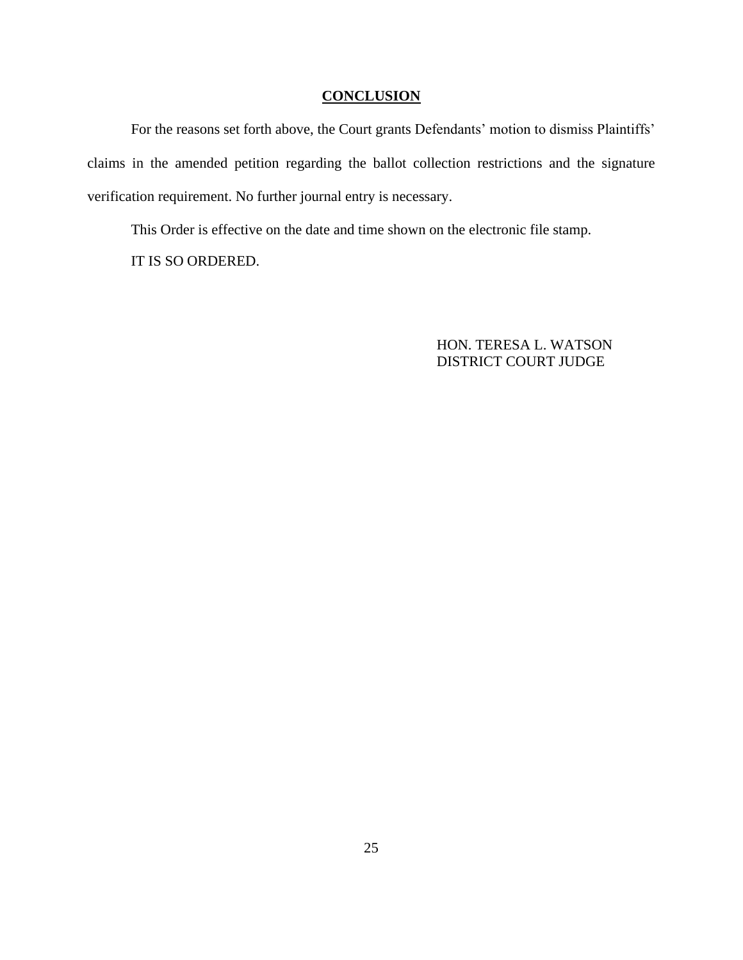# **CONCLUSION**

For the reasons set forth above, the Court grants Defendants' motion to dismiss Plaintiffs' claims in the amended petition regarding the ballot collection restrictions and the signature verification requirement. No further journal entry is necessary.

This Order is effective on the date and time shown on the electronic file stamp.

IT IS SO ORDERED.

HON. TERESA L. WATSON DISTRICT COURT JUDGE